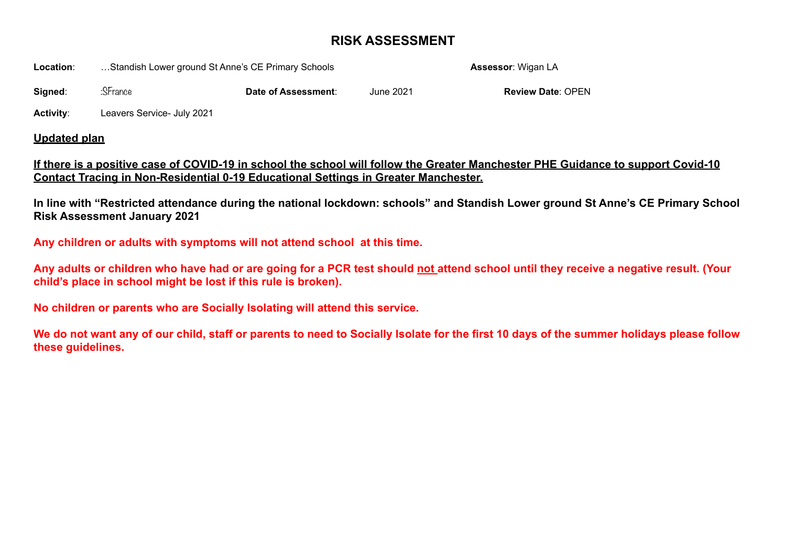## **RISK ASSESSMENT**

**Location:** ...Standish Lower ground St Anne's CE Primary Schools **Assessor:** Wigan LA

**Signed:**  $\therefore$  SFrance **Date of Assessment:** June 2021 **Review Date**: OPEN

**Activity**: Leavers Service- July 2021

## **Updated plan**

## **If there is a positive case of COVID-19 in school the school will follow the Greater Manchester PHE Guidance to support Covid-10 Contact Tracing in Non-Residential 0-19 Educational Settings in Greater Manchester.**

**In line with "Restricted attendance during the national lockdown: schools" and Standish Lower ground St Anne's CE Primary School Risk Assessment January 2021** 

**Any children or adults with symptoms will not attend school at this time.** 

**Any adults or children who have had or are going for a PCR test should not attend school until they receive a negative result. (Your child's place in school might be lost if this rule is broken).** 

**No children or parents who are Socially Isolating will attend this service.** 

**We do not want any of our child, staff or parents to need to Socially Isolate for the first 10 days of the summer holidays please follow these guidelines.**